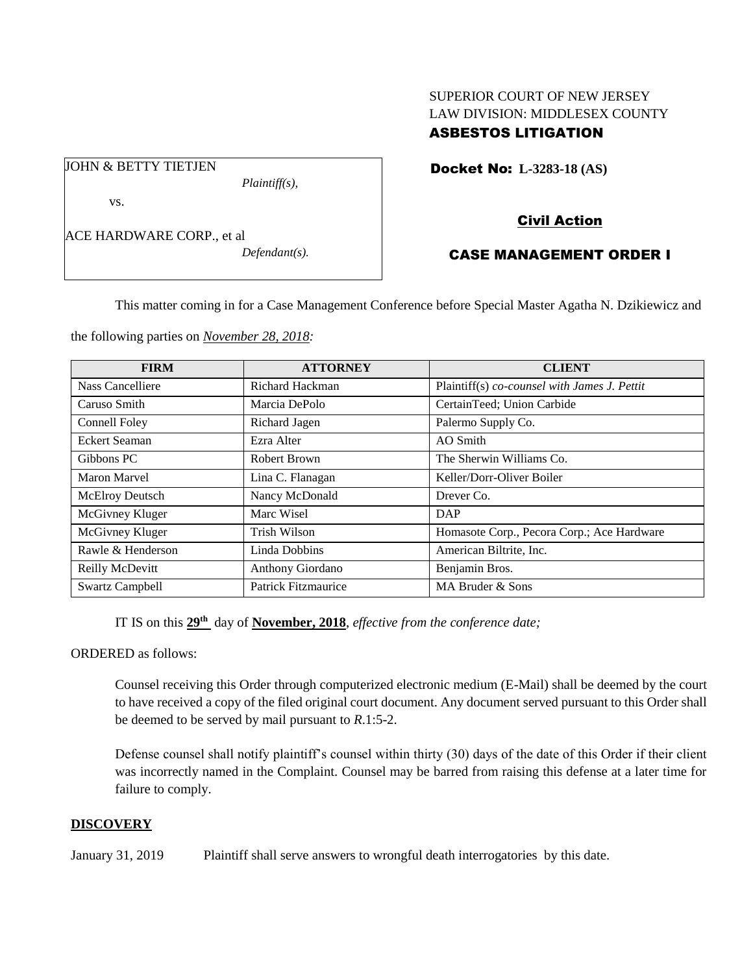## SUPERIOR COURT OF NEW JERSEY LAW DIVISION: MIDDLESEX COUNTY ASBESTOS LITIGATION

Docket No: **L-3283-18 (AS)** 

vs.

JOHN & BETTY TIETJEN

*Plaintiff(s),*

ACE HARDWARE CORP., et al

*Defendant(s).*

# Civil Action

## CASE MANAGEMENT ORDER I

This matter coming in for a Case Management Conference before Special Master Agatha N. Dzikiewicz and

the following parties on *November 28, 2018:*

| <b>FIRM</b>            | <b>ATTORNEY</b>     | <b>CLIENT</b>                                |
|------------------------|---------------------|----------------------------------------------|
| Nass Cancelliere       | Richard Hackman     | Plaintiff(s) co-counsel with James J. Pettit |
| Caruso Smith           | Marcia DePolo       | CertainTeed; Union Carbide                   |
| Connell Foley          | Richard Jagen       | Palermo Supply Co.                           |
| Eckert Seaman          | Ezra Alter          | AO Smith                                     |
| Gibbons PC             | Robert Brown        | The Sherwin Williams Co.                     |
| Maron Marvel           | Lina C. Flanagan    | Keller/Dorr-Oliver Boiler                    |
| <b>McElroy Deutsch</b> | Nancy McDonald      | Drever Co.                                   |
| McGivney Kluger        | Marc Wisel          | DAP                                          |
| McGivney Kluger        | <b>Trish Wilson</b> | Homasote Corp., Pecora Corp.; Ace Hardware   |
| Rawle & Henderson      | Linda Dobbins       | American Biltrite, Inc.                      |
| Reilly McDevitt        | Anthony Giordano    | Benjamin Bros.                               |
| <b>Swartz Campbell</b> | Patrick Fitzmaurice | MA Bruder & Sons                             |

IT IS on this **29th** day of **November, 2018**, *effective from the conference date;*

ORDERED as follows:

Counsel receiving this Order through computerized electronic medium (E-Mail) shall be deemed by the court to have received a copy of the filed original court document. Any document served pursuant to this Order shall be deemed to be served by mail pursuant to *R*.1:5-2.

Defense counsel shall notify plaintiff's counsel within thirty (30) days of the date of this Order if their client was incorrectly named in the Complaint. Counsel may be barred from raising this defense at a later time for failure to comply.

## **DISCOVERY**

January 31, 2019 Plaintiff shall serve answers to wrongful death interrogatories by this date.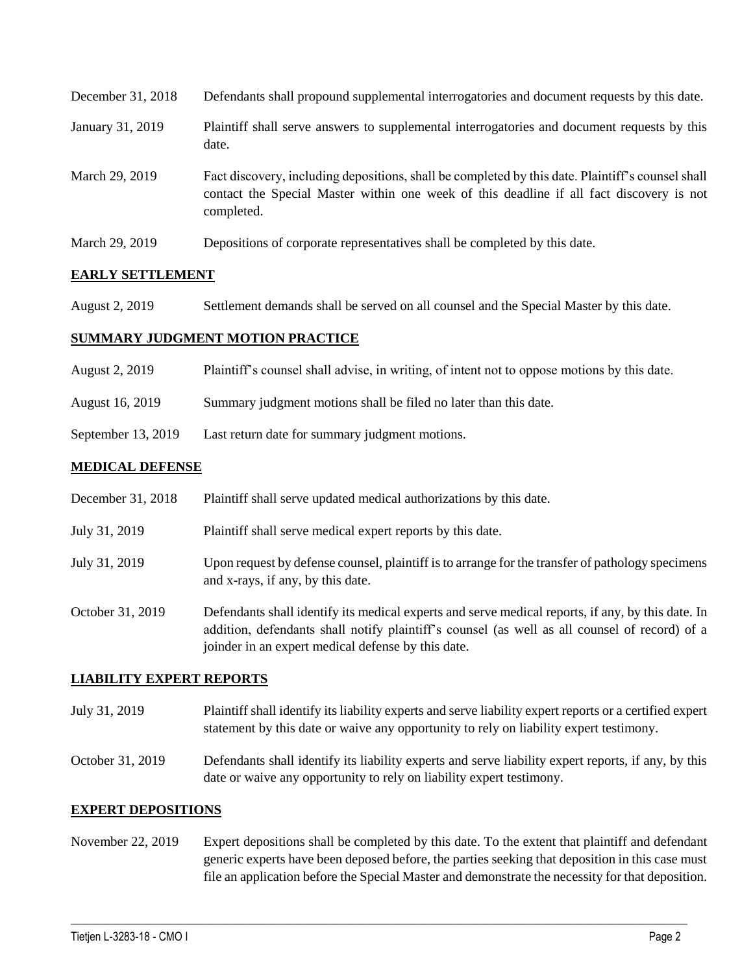| December 31, 2018 | Defendants shall propound supplemental interrogatories and document requests by this date.                                                                                                                  |
|-------------------|-------------------------------------------------------------------------------------------------------------------------------------------------------------------------------------------------------------|
| January 31, 2019  | Plaintiff shall serve answers to supplemental interrogatories and document requests by this<br>date.                                                                                                        |
| March 29, 2019    | Fact discovery, including depositions, shall be completed by this date. Plaintiff's counsel shall<br>contact the Special Master within one week of this deadline if all fact discovery is not<br>completed. |
| March 29, 2019    | Depositions of corporate representatives shall be completed by this date.                                                                                                                                   |

## **EARLY SETTLEMENT**

August 2, 2019 Settlement demands shall be served on all counsel and the Special Master by this date.

## **SUMMARY JUDGMENT MOTION PRACTICE**

| August 2, 2019 | Plaintiff's counsel shall advise, in writing, of intent not to oppose motions by this date. |  |  |
|----------------|---------------------------------------------------------------------------------------------|--|--|
|                |                                                                                             |  |  |

August 16, 2019 Summary judgment motions shall be filed no later than this date.

September 13, 2019 Last return date for summary judgment motions.

## **MEDICAL DEFENSE**

| December 31, 2018 | Plaintiff shall serve updated medical authorizations by this date.                                                                                                                                                                                       |
|-------------------|----------------------------------------------------------------------------------------------------------------------------------------------------------------------------------------------------------------------------------------------------------|
| July 31, 2019     | Plaintiff shall serve medical expert reports by this date.                                                                                                                                                                                               |
| July 31, 2019     | Upon request by defense counsel, plaintiff is to arrange for the transfer of pathology specimens<br>and x-rays, if any, by this date.                                                                                                                    |
| October 31, 2019  | Defendants shall identify its medical experts and serve medical reports, if any, by this date. In<br>addition, defendants shall notify plaintiff's counsel (as well as all counsel of record) of a<br>joinder in an expert medical defense by this date. |

## **LIABILITY EXPERT REPORTS**

- July 31, 2019 Plaintiff shall identify its liability experts and serve liability expert reports or a certified expert statement by this date or waive any opportunity to rely on liability expert testimony.
- October 31, 2019 Defendants shall identify its liability experts and serve liability expert reports, if any, by this date or waive any opportunity to rely on liability expert testimony.

## **EXPERT DEPOSITIONS**

November 22, 2019 Expert depositions shall be completed by this date. To the extent that plaintiff and defendant generic experts have been deposed before, the parties seeking that deposition in this case must file an application before the Special Master and demonstrate the necessity for that deposition.

 $\_$  ,  $\_$  ,  $\_$  ,  $\_$  ,  $\_$  ,  $\_$  ,  $\_$  ,  $\_$  ,  $\_$  ,  $\_$  ,  $\_$  ,  $\_$  ,  $\_$  ,  $\_$  ,  $\_$  ,  $\_$  ,  $\_$  ,  $\_$  ,  $\_$  ,  $\_$  ,  $\_$  ,  $\_$  ,  $\_$  ,  $\_$  ,  $\_$  ,  $\_$  ,  $\_$  ,  $\_$  ,  $\_$  ,  $\_$  ,  $\_$  ,  $\_$  ,  $\_$  ,  $\_$  ,  $\_$  ,  $\_$  ,  $\_$  ,